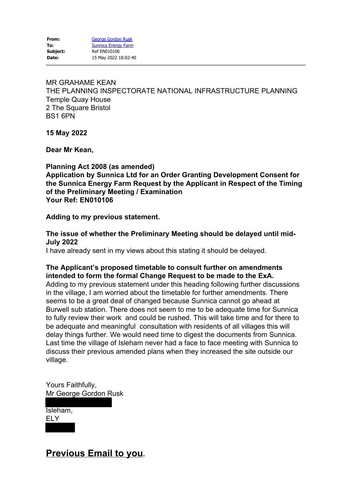MR GRAHAME KEAN THE PLANNING INSPECTORATE NATIONAL INFRASTRUCTURE PLANNING Temple Quay House 2 The Square Bristol BS1 6PN

**15 May 2022**

**Dear Mr Kean,**

**Planning Act 2008 (as amended) Application by Sunnica Ltd for an Order Granting Development Consent for the Sunnica Energy Farm Request by the Applicant in Respect of the Timing of the Preliminary Meeting / Examination Your Ref: EN010106**

### **Adding to my previous statement.**

**The issue of whether the Preliminary Meeting should be delayed until mid-July 2022**

I have already sent in my views about this stating it should be delayed.

## **The Applicant's proposed timetable to consult further on amendments intended to form the formal Change Request to be made to the ExA.**

Adding to my previous statement under this heading following further discussions in the village, I am worried about the timetable for further amendments. There seems to be a great deal of changed because Sunnica cannot go ahead at Burwell sub station. There does not seem to me to be adequate time for Sunnica to fully review their work and could be rushed. This will take time and for there to be adequate and meaningful consultation with residents of all villages this will delay things further. We would need time to digest the documents from Sunnica. Last time the village of Isleham never had a face to face meeting with Sunnica to discuss their previous amended plans when they increased the site outside our village.

Yours Faithfully, Mr George Gordon Rusk

Isleham, ELY

# **Previous Email to you.**